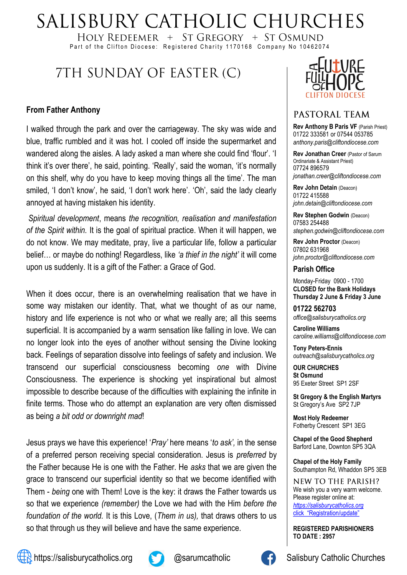# SALISBURY CATHOLIC CHURCHES

HOLY REDEEMER  $+$  ST GREGORY  $+$  ST OSMUND Part of the Clifton Diocese: Registered Charity 1170168 Company No 10462074

# 7TH SUNDAY OF EASTER (C)

#### **From Father Anthony**

I walked through the park and over the carriageway. The sky was wide and blue, traffic rumbled and it was hot. I cooled off inside the supermarket and wandered along the aisles. A lady asked a man where she could find 'flour'. 'I think it's over there', he said, pointing. 'Really', said the woman, 'it's normally on this shelf, why do you have to keep moving things all the time'. The man smiled, 'I don't know', he said, 'I don't work here'. 'Oh', said the lady clearly annoyed at having mistaken his identity.

*Spiritual development*, means *the recognition, realisation and manifestation of the Spirit within.* It is the goal of spiritual practice. When it will happen, we do not know. We may meditate, pray, live a particular life, follow a particular belief… or maybe do nothing! Regardless, like *'a thief in the night'* it will come upon us suddenly. It is a gift of the Father: a Grace of God.

When it does occur, there is an overwhelming realisation that we have in some way mistaken our identity. That, what we thought of as our name, history and life experience is not who or what we really are; all this seems superficial. It is accompanied by a warm sensation like falling in love. We can no longer look into the eyes of another without sensing the Divine looking back. Feelings of separation dissolve into feelings of safety and inclusion. We transcend our superficial consciousness becoming *one* with Divine Consciousness. The experience is shocking yet inspirational but almost impossible to describe because of the difficulties with explaining the infinite in finite terms. Those who do attempt an explanation are very often dismissed as being *a bit odd or downright mad*!

Jesus prays we have this experience! '*Pray'* here means '*to ask',* in the sense of a preferred person receiving special consideration. Jesus is *preferred* by the Father because He is one with the Father. He *asks* that we are given the grace to transcend our superficial identity so that we become identified with Them - *being* one with Them! Love is the key: it draws the Father towards us so that we experience *(remember)* the Love we had with the Him *before the foundation of the world.* It is this Love, (*Them in us),* that draws others to us so that through us they will believe and have the same experience.



### PASTORAL TEAM

**Rev Anthony B Paris VF (Parish Priest)** 01722 333581 or 07544 053785 *anthony.paris@cliftondiocese.com*

**Rev Jonathan Creer** (Pastor of Sarum Ordinariate & Assistant Priest) 07724 896579 *jonathan.creer@cliftondiocese.com*

**Rev John Detain** (Deacon) 01722 415588 *john.detain@cliftondiocese.com*

**Rev Stephen Godwin** (Deacon) 07583 254488 *stephen.godwin@cliftondiocese.com*

**Rev John Proctor** (Deacon) 07802 631968 *john.proctor@cliftondiocese.com*

#### **Parish Office**

Monday-Friday 0900 - 1700 **CLOSED for the Bank Holidays Thursday 2 June & Friday 3 June**

**01722 562703** *office@salisburycatholics.org*

**Caroline Williams** *caroline.williams@cliftondiocese.com*

**Tony Peters-Ennis** *outreach@salisburycatholics.org*

**OUR CHURCHES St Osmund** 95 Exeter Street SP1 2SF

**St Gregory & the English Martyrs** St Gregory's Ave SP2 7JP

**Most Holy Redeemer**  Fotherby Crescent SP1 3EG

**Chapel of the Good Shepherd** Barford Lane, Downton SP5 3QA

**Chapel of the Holy Family** Southampton Rd, Whaddon SP5 3EB

NEW TO THE PARISH? We wish you a very warm welcome. Please register online at: *[https://salisburycatholics.org](https://p1.pamis.co.uk/salisbury/onlined01cab)*  [click "Registration/update"](https://p1.pamis.co.uk/salisbury/onlined01cab) 

**REGISTERED PARISHIONERS TO DATE : 2957**





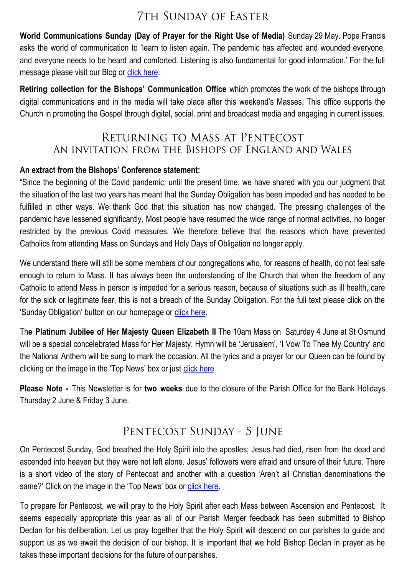# **7TH SUNDAY OF EASTER**

**World Communications Sunday (Day of Prayer for the Right Use of Media)** Sunday 29 May. Pope Francis asks the world of communication to 'learn to listen again. The pandemic has affected and wounded everyone, and everyone needs to be heard and comforted. Listening is also fundamental for good information.' For the full message please visit our Blog or [click here.](https://salisburycatholics.org/blog/world-communications-sunday-29-may)

**Retiring collection for the Bishops' Communication Office** which promotes the work of the bishops through digital communications and in the media will take place after this weekend's Masses. This office supports the Church in promoting the Gospel through digital, social, print and broadcast media and engaging in current issues.

# RETURNING TO MASS AT PENTECOST AN INVITATION FROM THE BISHOPS OF ENGLAND AND WALES

#### **An extract from the Bishops' Conference statement:**

"Since the beginning of the Covid pandemic, until the present time, we have shared with you our judgment that the situation of the last two years has meant that the Sunday Obligation has been impeded and has needed to be fulfilled in other ways. We thank God that this situation has now changed. The pressing challenges of the pandemic have lessened significantly. Most people have resumed the wide range of normal activities, no longer restricted by the previous Covid measures. We therefore believe that the reasons which have prevented Catholics from attending Mass on Sundays and Holy Days of Obligation no longer apply.

We understand there will still be some members of our congregations who, for reasons of health, do not feel safe enough to return to Mass. It has always been the understanding of the Church that when the freedom of any Catholic to attend Mass in person is impeded for a serious reason, because of situations such as ill health, care for the sick or legitimate fear, this is not a breach of the Sunday Obligation. For the full text please click on the 'Sunday Obligation' button on our homepage or [click here.](https://salisburycatholics.org/blog/spring-plenary-2022-resolution-returning-mass-pentecost)

Th**e Platinum Jubilee of Her Majesty Queen Elizabeth II** The 10am Mass on Saturday 4 June at St Osmund will be a special concelebrated Mass for Her Majesty. Hymn will be 'Jerusalem', 'I Vow To Thee My Country' and the National Anthem will be sung to mark the occasion. All the lyrics and a prayer for our Queen can be found by clicking on the image in the 'Top News' box or just [click here](https://salisburycatholics.org/blog/platinum-jubilee-her-majesty-queen-elizabeth-ii)

**Please Note -** This Newsletter is for **two weeks** due to the closure of the Parish Office for the Bank Holidays Thursday 2 June & Friday 3 June.

# PENTECOST SUNDAY - 5 JUNE

On Pentecost Sunday, God breathed the Holy Spirit into the apostles; Jesus had died, risen from the dead and ascended into heaven but they were not left alone. Jesus' followers were afraid and unsure of their future. There is a short video of the story of Pentecost and another with a question 'Aren't all Christian denominations the same?' Click on the image in the 'Top News' box or click here.

To prepare for Pentecost, we will pray to the Holy Spirit after each Mass between Ascension and Pentecost. It seems especially appropriate this year as all of our Parish Merger feedback has been submitted to Bishop Declan for his deliberation. Let us pray together that the Holy Spirit will descend on our parishes to guide and support us as we await the decision of our bishop. It is important that we hold Bishop Declan in prayer as he takes these important decisions for the future of our parishes.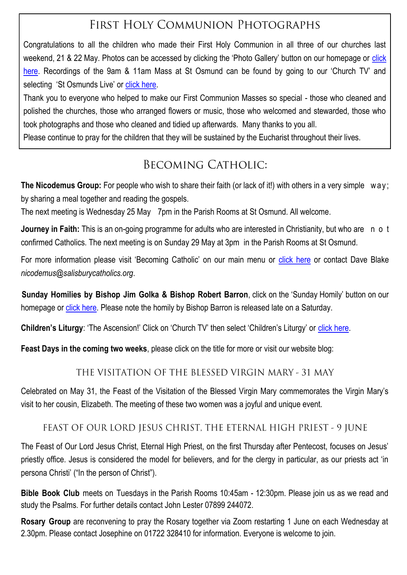# FIRST HOLY COMMUNION PHOTOGRAPHS

Congratulations to all the children who made their First Holy Communion in all three of our churches last weekend, 21 & 22 May. Photos can be accessed by clicking the 'Photo Gallery' button on our homepage or click [here](https://salisburycatholics.org/first-holy-communion-2022). Recordings of the 9am & 11am Mass at St Osmund can be found by going to our 'Church TV' and selecting 'St Osmunds Live' or [click here.](https://salisburycatholics.org/st-osmunds)

Thank you to everyone who helped to make our First Communion Masses so special - those who cleaned and polished the churches, those who arranged flowers or music, those who welcomed and stewarded, those who took photographs and those who cleaned and tidied up afterwards. Many thanks to you all.

Please continue to pray for the children that they will be sustained by the Eucharist throughout their lives.

# **BECOMING CATHOLIC:**

**The Nicodemus Group:** For people who wish to share their faith (or lack of it!) with others in a very simple w a y ; by sharing a meal together and reading the gospels.

The next meeting is Wednesday 25 May 7pm in the Parish Rooms at St Osmund. All welcome.

**Journey in Faith:** This is an on-going programme for adults who are interested in Christianity, but who are n o t confirmed Catholics. The next meeting is on Sunday 29 May at 3pm in the Parish Rooms at St Osmund.

For more information please visit 'Becoming Catholic' on our main menu or [click here](https://salisburycatholics.org/becoming-catholic-0) or contact Dave Blake *nicodemus@salisburycatholics.org*.

**Sunday Homilies by Bishop Jim Golka & Bishop Robert Barron, click on the 'Sunday Homily' button on our** homepage or [click here.](https://salisburycatholics.org/sunday-homily) Please note the homily by Bishop Barron is released late on a Saturday.

**Children's Liturgy**: 'The Ascension!' Click on 'Church TV' then select 'Children's Liturgy' or [click here.](https://salisburycatholics.org/childrens-liturgy)

**Feast Days in the coming two weeks**, please click on the title for more or visit our website blog:

### THE VISITATION OF THE BLESSED VIRGIN MARY - 31 MAY

Celebrated on May 31, the Feast of the Visitation of the Blessed Virgin Mary commemorates the Virgin Mary's visit to her cousin, Elizabeth. The meeting of these two women was a joyful and unique event.

### FEAST OF OUR LORD JESUS CHRIST, THE ETERNAL HIGH PRIEST - 9 JUNE

The Feast of Our Lord Jesus Christ, Eternal High Priest, on the first Thursday after Pentecost, focuses on Jesus' priestly office. Jesus is considered the model for believers, and for the clergy in particular, as our priests act 'in persona Christi' ("In the person of Christ").

**Bible Book Club** meets on Tuesdays in the Parish Rooms 10:45am - 12:30pm. Please join us as we read and study the Psalms. For further details contact John Lester 07899 244072.

**Rosary Group** are reconvening to pray the Rosary together via Zoom restarting 1 June on each Wednesday at 2.30pm. Please contact Josephine on 01722 328410 for information. Everyone is welcome to join.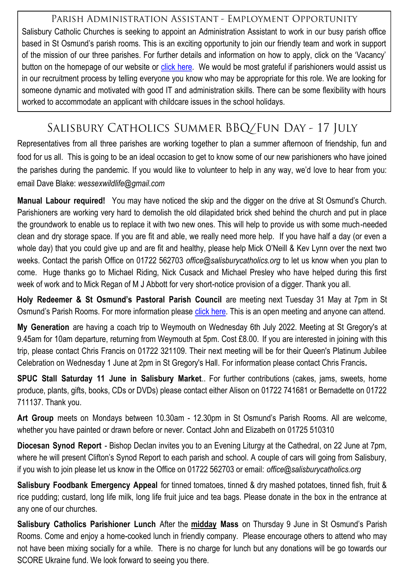### PARISH ADMINISTRATION ASSISTANT - EMPLOYMENT OPPORTUNITY

Salisbury Catholic Churches is seeking to appoint an Administration Assistant to work in our busy parish office based in St Osmund's parish rooms. This is an exciting opportunity to join our friendly team and work in support of the mission of our three parishes. For further details and information on how to apply, click on the 'Vacancy' button on the homepage of our website or [click here.](https://salisburycatholics.org/vacancies) We would be most grateful if parishioners would assist us in our recruitment process by telling everyone you know who may be appropriate for this role. We are looking for someone dynamic and motivated with good IT and administration skills. There can be some flexibility with hours worked to accommodate an applicant with childcare issues in the school holidays.

# SALISBURY CATHOLICS SUMMER BBQ/FUN DAY - 17 JULY

Representatives from all three parishes are working together to plan a summer afternoon of friendship, fun and food for us all. This is going to be an ideal occasion to get to know some of our new parishioners who have joined the parishes during the pandemic. If you would like to volunteer to help in any way, we'd love to hear from you: email Dave Blake: *wessexwildlife@gmail.com* 

**Manual Labour required!** You may have noticed the skip and the digger on the drive at St Osmund's Church. Parishioners are working very hard to demolish the old dilapidated brick shed behind the church and put in place the groundwork to enable us to replace it with two new ones. This will help to provide us with some much-needed clean and dry storage space. If you are fit and able, we really need more help. If you have half a day (or even a whole day) that you could give up and are fit and healthy, please help Mick O'Neill & Kev Lynn over the next two weeks. Contact the parish Office on 01722 562703 *office@salisburycatholics.org* to let us know when you plan to come. Huge thanks go to Michael Riding, Nick Cusack and Michael Presley who have helped during this first week of work and to Mick Regan of M J Abbott for very short-notice provision of a digger. Thank you all.

**Holy Redeemer & St Osmund's Pastoral Parish Council** are meeting next Tuesday 31 May at 7pm in St Osmund's Parish Rooms. For more information please [click here.](https://salisburycatholics.org/ppc-hr-sto) This is an open meeting and anyone can attend.

**My Generation** are having a coach trip to Weymouth on Wednesday 6th July 2022. Meeting at St Gregory's at 9.45am for 10am departure, returning from Weymouth at 5pm. Cost £8.00. If you are interested in joining with this trip, please contact Chris Francis on 01722 321109. Their next meeting will be for their Queen's Platinum Jubilee Celebration on Wednesday 1 June at 2pm in St Gregory's Hall. For information please contact Chris Francis**.**

**SPUC Stall Saturday 11 June in Salisbury Market**.. For further contributions (cakes, jams, sweets, home produce, plants, gifts, books, CDs or DVDs) please contact either Alison on 01722 741681 or Bernadette on 01722 711137. Thank you.

**Art Group** meets on Mondays between 10.30am - 12.30pm in St Osmund's Parish Rooms. All are welcome, whether you have painted or drawn before or never. Contact John and Elizabeth on 01725 510310

**Diocesan Synod Report** - Bishop Declan invites you to an Evening Liturgy at the Cathedral, on 22 June at 7pm, where he will present Clifton's Synod Report to each parish and school. A couple of cars will going from Salisbury, if you wish to join please let us know in the Office on 01722 562703 or email: *office@salisburycatholics.org* 

**Salisbury Foodbank Emergency Appeal** for tinned tomatoes, tinned & dry mashed potatoes, tinned fish, fruit & rice pudding; custard, long life milk, long life fruit juice and tea bags. Please donate in the box in the entrance at any one of our churches.

**Salisbury Catholics Parishioner Lunch** After the **midday Mass** on Thursday 9 June in St Osmund's Parish Rooms. Come and enjoy a home-cooked lunch in friendly company. Please encourage others to attend who may not have been mixing socially for a while. There is no charge for lunch but any donations will be go towards our SCORE Ukraine fund. We look forward to seeing you there.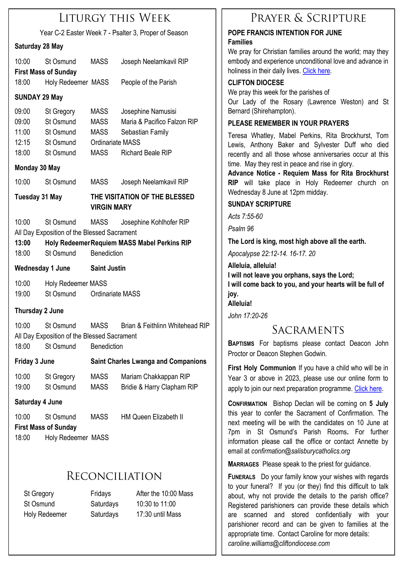# **LITURGY THIS WEEK**

| Year C-2 Easter Week 7 - Psalter 3, Proper of Season                                                                                                                                               |                                                                       |                                                         |                                                                                                   |  |  |  |
|----------------------------------------------------------------------------------------------------------------------------------------------------------------------------------------------------|-----------------------------------------------------------------------|---------------------------------------------------------|---------------------------------------------------------------------------------------------------|--|--|--|
| Saturday 28 May                                                                                                                                                                                    |                                                                       |                                                         |                                                                                                   |  |  |  |
| 10:00                                                                                                                                                                                              | St Osmund<br><b>First Mass of Sunday</b>                              | <b>MASS</b>                                             | Joseph Neelamkavil RIP                                                                            |  |  |  |
| 18:00                                                                                                                                                                                              | Holy Redeemer MASS                                                    |                                                         | People of the Parish                                                                              |  |  |  |
| <b>SUNDAY 29 May</b>                                                                                                                                                                               |                                                                       |                                                         |                                                                                                   |  |  |  |
| 09:00<br>09:00<br>11:00<br>12:15<br>18:00                                                                                                                                                          | St Gregory<br>St Osmund<br>St Osmund<br>St Osmund<br>St Osmund        | MASS<br>MASS<br>MASS<br><b>Ordinariate MASS</b><br>MASS | Josephine Namusisi<br>Maria & Pacifico Falzon RIP<br>Sebastian Family<br><b>Richard Beale RIP</b> |  |  |  |
| Monday 30 May                                                                                                                                                                                      |                                                                       |                                                         |                                                                                                   |  |  |  |
| 10:00                                                                                                                                                                                              | St Osmund                                                             | <b>MASS</b>                                             | Joseph Neelamkavil RIP                                                                            |  |  |  |
| <b>Tuesday 31 May</b>                                                                                                                                                                              |                                                                       | THE VISITATION OF THE BLESSED<br><b>VIRGIN MARY</b>     |                                                                                                   |  |  |  |
| 10:00<br>Josephine Kohlhofer RIP<br>St Osmund<br>MASS<br>All Day Exposition of the Blessed Sacrament<br>13:00<br>Holy Redeemer Requiem MASS Mabel Perkins RIP<br>Benediction<br>18:00<br>St Osmund |                                                                       |                                                         |                                                                                                   |  |  |  |
| <b>Wednesday 1 June</b>                                                                                                                                                                            |                                                                       | <b>Saint Justin</b>                                     |                                                                                                   |  |  |  |
| 10:00<br>19:00                                                                                                                                                                                     | Holy Redeemer MASS<br>St Osmund                                       | <b>Ordinariate MASS</b>                                 |                                                                                                   |  |  |  |
| <b>Thursday 2 June</b>                                                                                                                                                                             |                                                                       |                                                         |                                                                                                   |  |  |  |
| 10:00<br>18:00                                                                                                                                                                                     | St Osmund<br>All Day Exposition of the Blessed Sacrament<br>St Osmund | <b>MASS</b><br>Benediction                              | Brian & Feithlinn Whitehead RIP                                                                   |  |  |  |
| <b>Friday 3 June</b>                                                                                                                                                                               |                                                                       | <b>Saint Charles Lwanga and Companions</b>              |                                                                                                   |  |  |  |
| 10:00<br>19:00                                                                                                                                                                                     | St Gregory<br>St Osmund                                               | <b>MASS</b><br><b>MASS</b>                              | Mariam Chakkappan RIP<br>Bridie & Harry Clapham RIP                                               |  |  |  |

#### **Saturday 4 June**

10:00 St Osmund MASS HM Queen Elizabeth II **First Mass of Sunday** 18:00 Holy Redeemer MASS

# **RECONCILIATION**

St Gregory Fridays After the 10:00 Mass St Osmund Saturdays 10:30 to 11:00 Holy Redeemer Saturdays 17:30 until Mass

# PRAYER & SCRIPTURE

#### **POPE FRANCIS INTENTION FOR JUNE Families**

We pray for Christian families around the world; may they embody and experience unconditional love and advance in holiness in their daily lives. [Click here.](https://salisburycatholics.org/pope-francis)

#### **CLIFTON DIOCESE**

We pray this week for the parishes of Our Lady of the Rosary (Lawrence Weston) and St Bernard (Shirehampton).

#### **PLEASE REMEMBER IN YOUR PRAYERS**

Teresa Whatley, Mabel Perkins, Rita Brockhurst, Tom Lewis, Anthony Baker and Sylvester Duff who died recently and all those whose anniversaries occur at this time. May they rest in peace and rise in glory.

**Advance Notice - Requiem Mass for Rita Brockhurst RIP** will take place in Holy Redeemer church on Wednesday 8 June at 12pm midday.

#### **SUNDAY SCRIPTURE**

*Acts 7:55-60*

*Psalm 96*

**The Lord is king, most high above all the earth.**

*Apocalypse 22:12-14. 16-17. 20*

**Alleluia, alleluia! I will not leave you orphans, says the Lord; I will come back to you, and your hearts will be full of joy. Alleluia!**

*John 17:20-26*

# SACRAMENTS

**BAPTISMS** For baptisms please contact Deacon John Proctor or Deacon Stephen Godwin.

**First Holy Communion** If you have a child who will be in Year 3 or above in 2023, please use our online form to apply to join our next preparation programme. [Click here.](https://p3.pamis.co.uk/salisbury/onlined01cab)

**CONFIRMATION** Bishop Declan will be coming on **5 July**  this year to confer the Sacrament of Confirmation. The next meeting will be with the candidates on 10 June at 7pm in St Osmund's Parish Rooms**.** For further information please call the office or contact Annette by email at *confirmation@salisburycatholics.org*

**MARRIAGES** Please speak to the priest for guidance.

**FUNERALS** Do your family know your wishes with regards to your funeral? If you (or they) find this difficult to talk about, why not provide the details to the parish office? Registered parishioners can provide these details which are scanned and stored confidentially with your parishioner record and can be given to families at the appropriate time. Contact Caroline for more details: *caroline.williams@cliftondiocese.com*